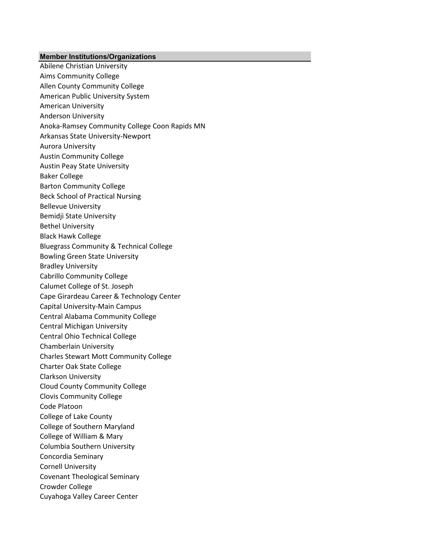## **Member Institutions/Organizations**

Abilene Christian University Aims Community College Allen County Community College American Public University System American University Anderson University Anoka-Ramsey Community College Coon Rapids MN Arkansas State University-Newport Aurora University Austin Community College Austin Peay State University Baker College Barton Community College Beck School of Practical Nursing Bellevue University Bemidji State University Bethel University Black Hawk College Bluegrass Community & Technical College Bowling Green State University Bradley University Cabrillo Community College Calumet College of St. Joseph Cape Girardeau Career & Technology Center Capital University-Main Campus Central Alabama Community College Central Michigan University Central Ohio Technical College Chamberlain University Charles Stewart Mott Community College Charter Oak State College Clarkson University Cloud County Community College Clovis Community College Code Platoon College of Lake County College of Southern Maryland College of William & Mary Columbia Southern University Concordia Seminary Cornell University Covenant Theological Seminary Crowder College Cuyahoga Valley Career Center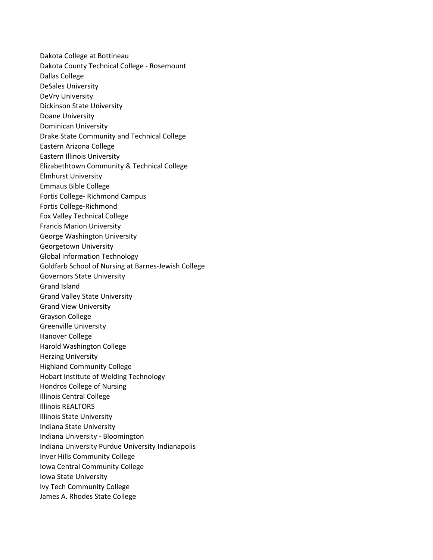Dakota College at Bottineau Dakota County Technical College - Rosemount Dallas College DeSales University DeVry University Dickinson State University Doane University Dominican University Drake State Community and Technical College Eastern Arizona College Eastern Illinois University Elizabethtown Community & Technical College Elmhurst University Emmaus Bible College Fortis College- Richmond Campus Fortis College-Richmond Fox Valley Technical College Francis Marion University George Washington University Georgetown University Global Information Technology Goldfarb School of Nursing at Barnes-Jewish College Governors State University Grand Island Grand Valley State University Grand View University Grayson College Greenville University Hanover College Harold Washington College Herzing University Highland Community College Hobart Institute of Welding Technology Hondros College of Nursing Illinois Central College Illinois REALTORS Illinois State University Indiana State University Indiana University - Bloomington Indiana University Purdue University Indianapolis Inver Hills Community College Iowa Central Community College Iowa State University Ivy Tech Community College James A. Rhodes State College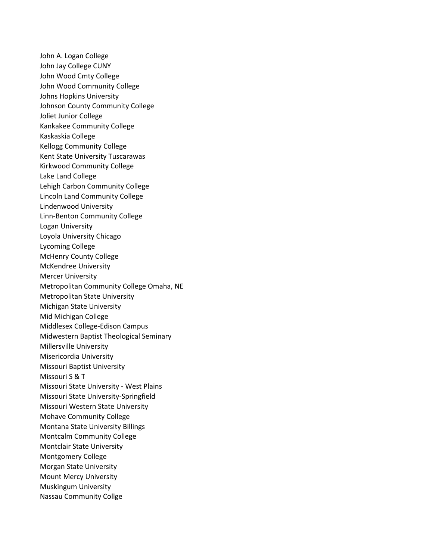John A. Logan College John Jay College CUNY John Wood Cmty College John Wood Community College Johns Hopkins University Johnson County Community College Joliet Junior College Kankakee Community College Kaskaskia College Kellogg Community College Kent State University Tuscarawas Kirkwood Community College Lake Land College Lehigh Carbon Community College Lincoln Land Community College Lindenwood University Linn-Benton Community College Logan University Loyola University Chicago Lycoming College McHenry County College McKendree University Mercer University Metropolitan Community College Omaha, NE Metropolitan State University Michigan State University Mid Michigan College Middlesex College-Edison Campus Midwestern Baptist Theological Seminary Millersville University Misericordia University Missouri Baptist University Missouri S & T Missouri State University - West Plains Missouri State University-Springfield Missouri Western State University Mohave Community College Montana State University Billings Montcalm Community College Montclair State University Montgomery College Morgan State University Mount Mercy University Muskingum University Nassau Community Collge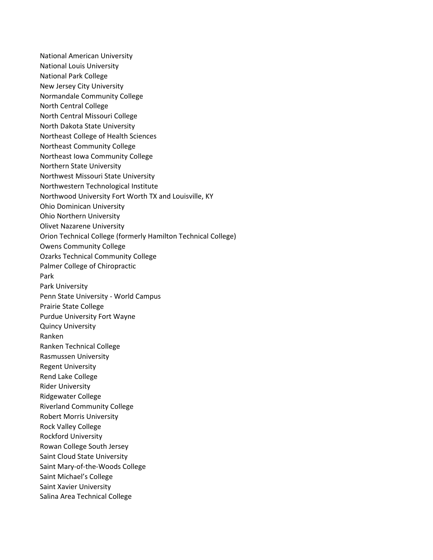National American University National Louis University National Park College New Jersey City University Normandale Community College North Central College North Central Missouri College North Dakota State University Northeast College of Health Sciences Northeast Community College Northeast Iowa Community College Northern State University Northwest Missouri State University Northwestern Technological Institute Northwood University Fort Worth TX and Louisville, KY Ohio Dominican University Ohio Northern University Olivet Nazarene University Orion Technical College (formerly Hamilton Technical College) Owens Community College Ozarks Technical Community College Palmer College of Chiropractic Park Park University Penn State University - World Campus Prairie State College Purdue University Fort Wayne Quincy University Ranken Ranken Technical College Rasmussen University Regent University Rend Lake College Rider University Ridgewater College Riverland Community College Robert Morris University Rock Valley College Rockford University Rowan College South Jersey Saint Cloud State University Saint Mary-of-the-Woods College Saint Michael's College Saint Xavier University Salina Area Technical College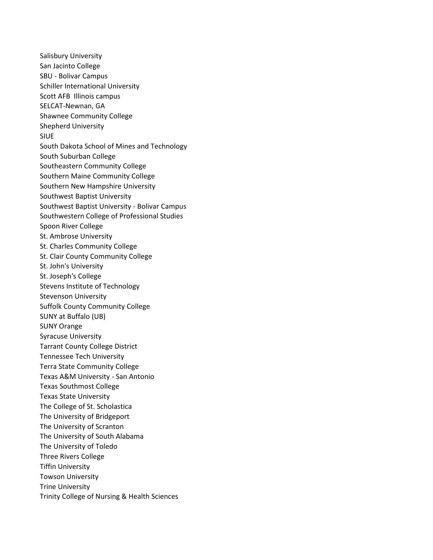Salisbury University San Jacinto College SBU - Bolivar Campus Schiller International University Scott AFB Illinois campus SELCAT-Newnan, GA Shawnee Community College Shepherd University SIUE South Dakota School of Mines and Technology South Suburban College Southeastern Community College Southern Maine Community College Southern New Hampshire University Southwest Baptist University Southwest Baptist University - Bolivar Campus Southwestern College of Professional Studies Spoon River College St. Ambrose University St. Charles Community College St. Clair County Community College St. John's University St. Joseph's College Stevens Institute of Technology Stevenson University Suffolk County Community College SUNY at Buffalo (UB) SUNY Orange Syracuse University Tarrant County College District Tennessee Tech University Terra State Community College Texas A&M University - San Antonio Texas Southmost College Texas State University The College of St. Scholastica The University of Bridgeport The University of Scranton The University of South Alabama The University of Toledo Three Rivers College Tiffin University Towson University Trine University Trinity College of Nursing & Health Sciences